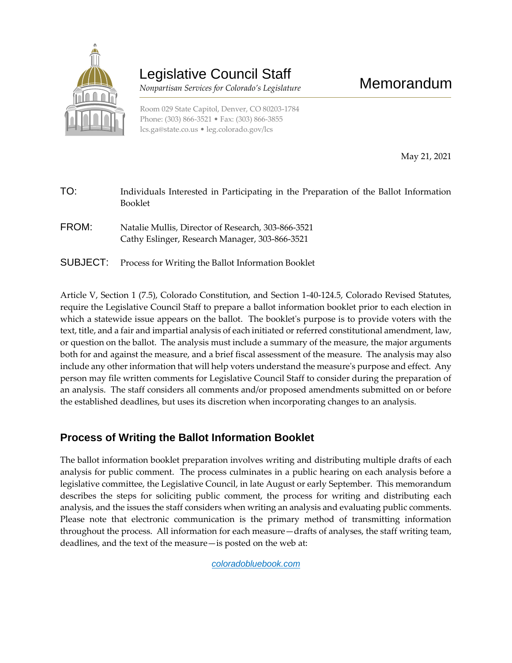

# Legislative Council Staff

 *Nonpartisan Services for Colorado's Legislature*

Room 029 State Capitol, Denver, CO 80203-1784 Phone: (303) 866-3521 • Fax: (303) 866-3855 [lcs.ga@state.co.us](mailto:lcs.ga@state.co.us) • [leg.colorado.gov/lcs](http://leg.colorado.gov/lcs)

May 21, 2021

| TO:      | Individuals Interested in Participating in the Preparation of the Ballot Information<br><b>Booklet</b> |
|----------|--------------------------------------------------------------------------------------------------------|
| FROM:    | Natalie Mullis, Director of Research, 303-866-3521<br>Cathy Eslinger, Research Manager, 303-866-3521   |
| SUBJECT: | Process for Writing the Ballot Information Booklet                                                     |

Article V, Section 1 (7.5), Colorado Constitution, and Section 1-40-124.5, Colorado Revised Statutes, require the Legislative Council Staff to prepare a ballot information booklet prior to each election in which a statewide issue appears on the ballot. The booklet's purpose is to provide voters with the text, title, and a fair and impartial analysis of each initiated or referred constitutional amendment, law, or question on the ballot. The analysis must include a summary of the measure, the major arguments both for and against the measure, and a brief fiscal assessment of the measure. The analysis may also include any other information that will help voters understand the measure's purpose and effect. Any person may file written comments for Legislative Council Staff to consider during the preparation of an analysis. The staff considers all comments and/or proposed amendments submitted on or before the established deadlines, but uses its discretion when incorporating changes to an analysis.

## **Process of Writing the Ballot Information Booklet**

The ballot information booklet preparation involves writing and distributing multiple drafts of each analysis for public comment. The process culminates in a public hearing on each analysis before a legislative committee, the Legislative Council, in late August or early September. This memorandum describes the steps for soliciting public comment, the process for writing and distributing each analysis, and the issues the staff considers when writing an analysis and evaluating public comments. Please note that electronic communication is the primary method of transmitting information throughout the process. All information for each measure—drafts of analyses, the staff writing team, deadlines, and the text of the measure—is posted on the web at:

*[coloradobluebook.](http://www.colorado.gov/bluebook)com*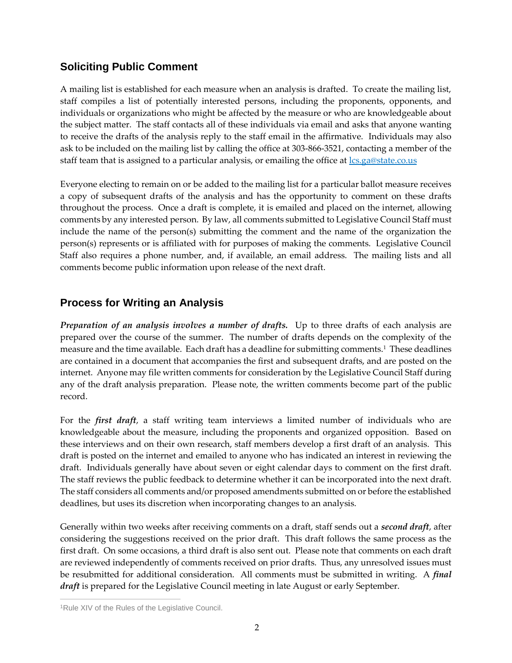## **Soliciting Public Comment**

A mailing list is established for each measure when an analysis is drafted. To create the mailing list, staff compiles a list of potentially interested persons, including the proponents, opponents, and individuals or organizations who might be affected by the measure or who are knowledgeable about the subject matter. The staff contacts all of these individuals via email and asks that anyone wanting to receive the drafts of the analysis reply to the staff email in the affirmative. Individuals may also ask to be included on the mailing list by calling the office at 303-866-3521, contacting a member of the staff team that is assigned to a particular analysis, or emailing the office at  $lcs.ga@state.co.us$ 

Everyone electing to remain on or be added to the mailing list for a particular ballot measure receives a copy of subsequent drafts of the analysis and has the opportunity to comment on these drafts throughout the process. Once a draft is complete, it is emailed and placed on the internet, allowing comments by any interested person. By law, all comments submitted to Legislative Council Staff must include the name of the person(s) submitting the comment and the name of the organization the person(s) represents or is affiliated with for purposes of making the comments. Legislative Council Staff also requires a phone number, and, if available, an email address. The mailing lists and all comments become public information upon release of the next draft.

# **Process for Writing an Analysis**

*Preparation of an analysis involves a number of drafts.* Up to three drafts of each analysis are prepared over the course of the summer. The number of drafts depends on the complexity of the measure and the time available. Each draft has a deadline for submitting comments.<sup>1</sup> These deadlines are contained in a document that accompanies the first and subsequent drafts, and are posted on the internet. Anyone may file written comments for consideration by the Legislative Council Staff during any of the draft analysis preparation. Please note, the written comments become part of the public record.

For the *first draft*, a staff writing team interviews a limited number of individuals who are knowledgeable about the measure, including the proponents and organized opposition. Based on these interviews and on their own research, staff members develop a first draft of an analysis. This draft is posted on the internet and emailed to anyone who has indicated an interest in reviewing the draft. Individuals generally have about seven or eight calendar days to comment on the first draft. The staff reviews the public feedback to determine whether it can be incorporated into the next draft. The staff considers all comments and/or proposed amendments submitted on or before the established deadlines, but uses its discretion when incorporating changes to an analysis.

Generally within two weeks after receiving comments on a draft, staff sends out a *second draft*, after considering the suggestions received on the prior draft. This draft follows the same process as the first draft. On some occasions, a third draft is also sent out. Please note that comments on each draft are reviewed independently of comments received on prior drafts. Thus, any unresolved issues must be resubmitted for additional consideration. All comments must be submitted in writing. A *final draft* is prepared for the Legislative Council meeting in late August or early September.

 $\overline{a}$ <sup>1</sup>Rule XIV of the Rules of the Legislative Council.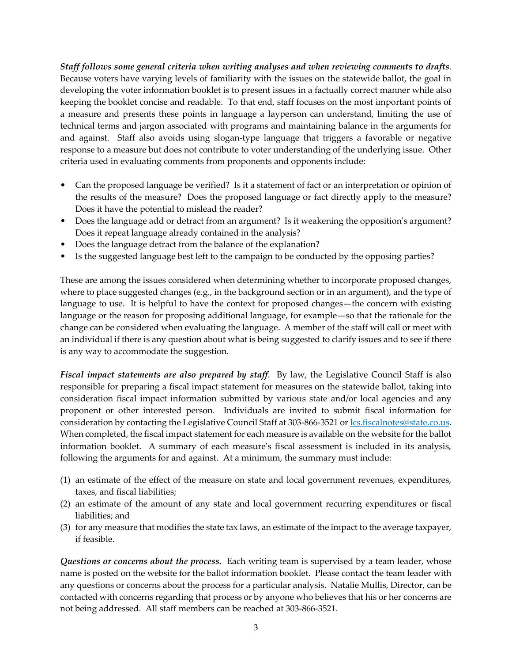*Staff follows some general criteria when writing analyses and when reviewing comments to drafts*. Because voters have varying levels of familiarity with the issues on the statewide ballot, the goal in developing the voter information booklet is to present issues in a factually correct manner while also keeping the booklet concise and readable. To that end, staff focuses on the most important points of a measure and presents these points in language a layperson can understand, limiting the use of technical terms and jargon associated with programs and maintaining balance in the arguments for and against. Staff also avoids using slogan-type language that triggers a favorable or negative response to a measure but does not contribute to voter understanding of the underlying issue. Other criteria used in evaluating comments from proponents and opponents include:

- Can the proposed language be verified? Is it a statement of fact or an interpretation or opinion of the results of the measure? Does the proposed language or fact directly apply to the measure? Does it have the potential to mislead the reader?
- Does the language add or detract from an argument? Is it weakening the opposition's argument? Does it repeat language already contained in the analysis?
- Does the language detract from the balance of the explanation?
- Is the suggested language best left to the campaign to be conducted by the opposing parties?

These are among the issues considered when determining whether to incorporate proposed changes, where to place suggested changes (e.g., in the background section or in an argument), and the type of language to use. It is helpful to have the context for proposed changes—the concern with existing language or the reason for proposing additional language, for example—so that the rationale for the change can be considered when evaluating the language. A member of the staff will call or meet with an individual if there is any question about what is being suggested to clarify issues and to see if there is any way to accommodate the suggestion.

*Fiscal impact statements are also prepared by staff*. By law, the Legislative Council Staff is also responsible for preparing a fiscal impact statement for measures on the statewide ballot, taking into consideration fiscal impact information submitted by various state and/or local agencies and any proponent or other interested person. Individuals are invited to submit fiscal information for consideration by contacting the Legislative Council Staff at 303-866-3521 o[r lcs.fiscalnotes@state.co.us.](mailto:lcs.fiscalnotes@state.co.us) When completed, the fiscal impact statement for each measure is available on the website for the ballot information booklet. A summary of each measure's fiscal assessment is included in its analysis, following the arguments for and against. At a minimum, the summary must include:

- (1) an estimate of the effect of the measure on state and local government revenues, expenditures, taxes, and fiscal liabilities;
- (2) an estimate of the amount of any state and local government recurring expenditures or fiscal liabilities; and
- (3) for any measure that modifies the state tax laws, an estimate of the impact to the average taxpayer, if feasible.

*Questions or concerns about the process.* Each writing team is supervised by a team leader, whose name is posted on the website for the ballot information booklet. Please contact the team leader with any questions or concerns about the process for a particular analysis. Natalie Mullis, Director, can be contacted with concerns regarding that process or by anyone who believes that his or her concerns are not being addressed. All staff members can be reached at 303-866-3521.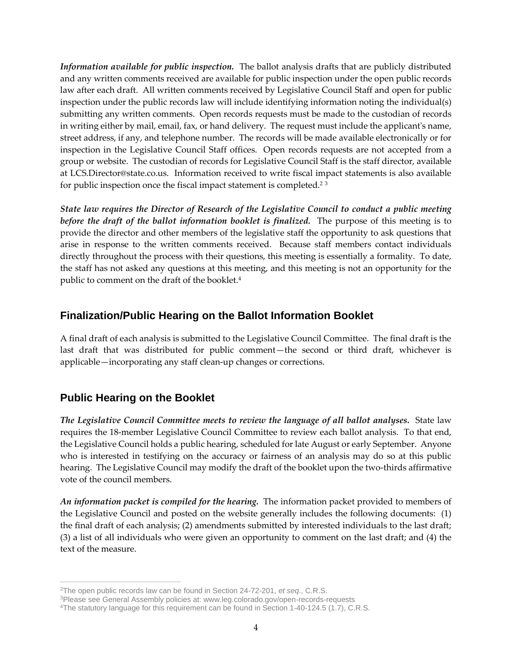*Information available for public inspection.* The ballot analysis drafts that are publicly distributed and any written comments received are available for public inspection under the open public records law after each draft. All written comments received by Legislative Council Staff and open for public inspection under the public records law will include identifying information noting the individual(s) submitting any written comments. Open records requests must be made to the custodian of records in writing either by mail, email, fax, or hand delivery. The request must include the applicant's name, street address, if any, and telephone number. The records will be made available electronically or for inspection in the Legislative Council Staff offices. Open records requests are not accepted from a group or website. The custodian of records for Legislative Council Staff is the staff director, available at LCS.Director@state.co.us. Information received to write fiscal impact statements is also available for public inspection once the fiscal impact statement is completed.<sup>2</sup> <sup>3</sup>

*State law requires the Director of Research of the Legislative Council to conduct a public meeting before the draft of the ballot information booklet is finalized.* The purpose of this meeting is to provide the director and other members of the legislative staff the opportunity to ask questions that arise in response to the written comments received. Because staff members contact individuals directly throughout the process with their questions, this meeting is essentially a formality. To date, the staff has not asked any questions at this meeting, and this meeting is not an opportunity for the public to comment on the draft of the booklet.<sup>4</sup>

### **Finalization/Public Hearing on the Ballot Information Booklet**

A final draft of each analysis is submitted to the Legislative Council Committee. The final draft is the last draft that was distributed for public comment—the second or third draft, whichever is applicable—incorporating any staff clean-up changes or corrections.

## **Public Hearing on the Booklet**

*The Legislative Council Committee meets to review the language of all ballot analyses.* State law requires the 18-member Legislative Council Committee to review each ballot analysis. To that end, the Legislative Council holds a public hearing, scheduled for late August or early September. Anyone who is interested in testifying on the accuracy or fairness of an analysis may do so at this public hearing. The Legislative Council may modify the draft of the booklet upon the two-thirds affirmative vote of the council members.

*An information packet is compiled for the hearing.* The information packet provided to members of the Legislative Council and posted on the website generally includes the following documents: (1) the final draft of each analysis; (2) amendments submitted by interested individuals to the last draft; (3) a list of all individuals who were given an opportunity to comment on the last draft; and (4) the text of the measure.

 $\overline{a}$ <sup>2</sup>The open public records law can be found in Section 24-72-201, *et seq*., C.R.S.

<sup>3</sup>Please see General Assembly policies at: www.leg.colorado.gov/open-records-requests

<sup>4</sup>The statutory language for this requirement can be found in Section 1-40-124.5 (1.7), C.R.S.